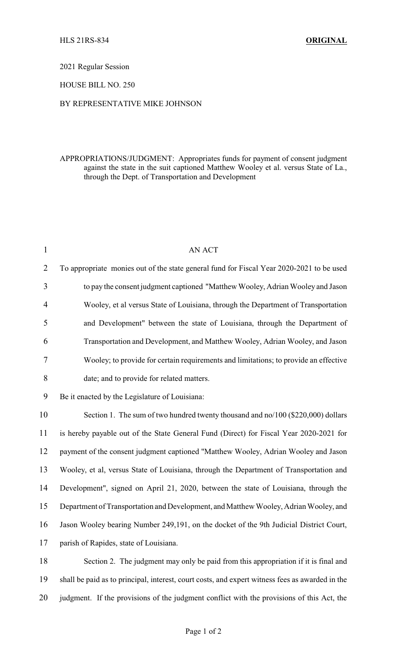2021 Regular Session

HOUSE BILL NO. 250

## BY REPRESENTATIVE MIKE JOHNSON

## APPROPRIATIONS/JUDGMENT: Appropriates funds for payment of consent judgment against the state in the suit captioned Matthew Wooley et al. versus State of La., through the Dept. of Transportation and Development

| $\mathbf{1}$   | <b>AN ACT</b>                                                                                   |
|----------------|-------------------------------------------------------------------------------------------------|
| $\overline{2}$ | To appropriate monies out of the state general fund for Fiscal Year 2020-2021 to be used        |
| $\mathfrak{Z}$ | to pay the consent judgment captioned "Matthew Wooley, Adrian Wooley and Jason                  |
| $\overline{4}$ | Wooley, et al versus State of Louisiana, through the Department of Transportation               |
| 5              | and Development" between the state of Louisiana, through the Department of                      |
| 6              | Transportation and Development, and Matthew Wooley, Adrian Wooley, and Jason                    |
| $\tau$         | Wooley; to provide for certain requirements and limitations; to provide an effective            |
| $\,8\,$        | date; and to provide for related matters.                                                       |
| 9              | Be it enacted by the Legislature of Louisiana:                                                  |
| 10             | Section 1. The sum of two hundred twenty thousand and no/100 (\$220,000) dollars                |
| 11             | is hereby payable out of the State General Fund (Direct) for Fiscal Year 2020-2021 for          |
| 12             | payment of the consent judgment captioned "Matthew Wooley, Adrian Wooley and Jason              |
| 13             | Wooley, et al, versus State of Louisiana, through the Department of Transportation and          |
| 14             | Development", signed on April 21, 2020, between the state of Louisiana, through the             |
| 15             | Department of Transportation and Development, and Matthew Wooley, Adrian Wooley, and            |
| 16             | Jason Wooley bearing Number 249,191, on the docket of the 9th Judicial District Court,          |
| 17             | parish of Rapides, state of Louisiana.                                                          |
| 18             | Section 2. The judgment may only be paid from this appropriation if it is final and             |
| 19             | shall be paid as to principal, interest, court costs, and expert witness fees as awarded in the |
| 20             | judgment. If the provisions of the judgment conflict with the provisions of this Act, the       |